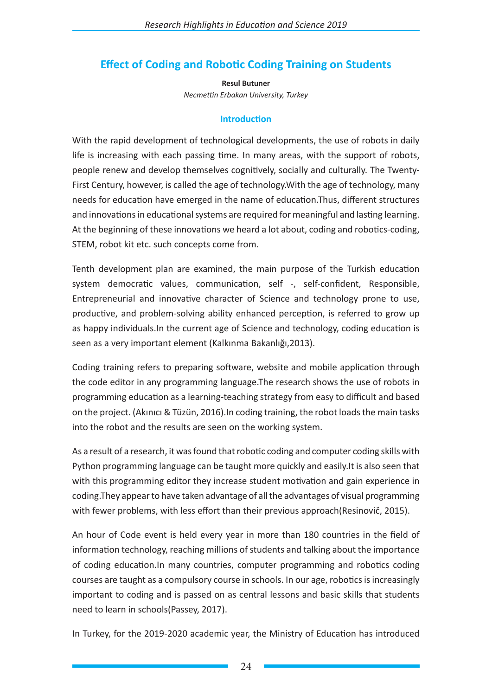## **Effect of Coding and Robotic Coding Training on Students**

**Resul Butuner** *Necmettin Erbakan University, Turkey*

## **Introduction**

With the rapid development of technological developments, the use of robots in daily life is increasing with each passing time. In many areas, with the support of robots, people renew and develop themselves cognitively, socially and culturally. The Twenty-First Century, however, is called the age of technology.With the age of technology, many needs for education have emerged in the name of education.Thus, different structures and innovations in educational systems are required for meaningful and lasting learning. At the beginning of these innovations we heard a lot about, coding and robotics-coding, STEM, robot kit etc. such concepts come from.

Tenth development plan are examined, the main purpose of the Turkish education system democratic values, communication, self -, self-confident, Responsible, Entrepreneurial and innovative character of Science and technology prone to use, productive, and problem-solving ability enhanced perception, is referred to grow up as happy individuals.In the current age of Science and technology, coding education is seen as a very important element (Kalkınma Bakanlığı,2013).

Coding training refers to preparing software, website and mobile application through the code editor in any programming language.The research shows the use of robots in programming education as a learning-teaching strategy from easy to difficult and based on the project. (Akınıcı & Tüzün, 2016).In coding training, the robot loads the main tasks into the robot and the results are seen on the working system.

As a result of a research, it was found that robotic coding and computer coding skills with Python programming language can be taught more quickly and easily.It is also seen that with this programming editor they increase student motivation and gain experience in coding.They appear to have taken advantage of all the advantages of visual programming with fewer problems, with less effort than their previous approach(Resinovič, 2015).

An hour of Code event is held every year in more than 180 countries in the field of information technology, reaching millions of students and talking about the importance of coding education.In many countries, computer programming and robotics coding courses are taught as a compulsory course in schools. In our age, robotics is increasingly important to coding and is passed on as central lessons and basic skills that students need to learn in schools(Passey, 2017).

In Turkey, for the 2019-2020 academic year, the Ministry of Education has introduced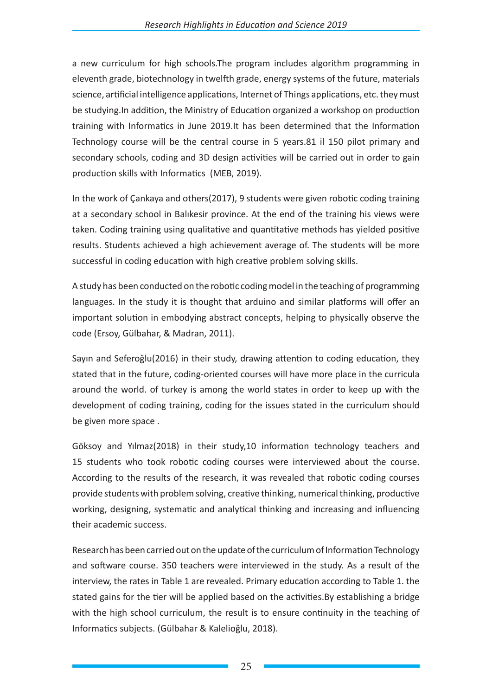a new curriculum for high schools.The program includes algorithm programming in eleventh grade, biotechnology in twelfth grade, energy systems of the future, materials science, artificial intelligence applications, Internet of Things applications, etc. they must be studying.In addition, the Ministry of Education organized a workshop on production training with Informatics in June 2019.It has been determined that the Information Technology course will be the central course in 5 years.81 il 150 pilot primary and secondary schools, coding and 3D design activities will be carried out in order to gain production skills with Informatics (MEB, 2019).

In the work of Çankaya and others(2017), 9 students were given robotic coding training at a secondary school in Balıkesir province. At the end of the training his views were taken. Coding training using qualitative and quantitative methods has yielded positive results. Students achieved a high achievement average of. The students will be more successful in coding education with high creative problem solving skills.

A study has been conducted on the robotic coding model in the teaching of programming languages. In the study it is thought that arduino and similar platforms will offer an important solution in embodying abstract concepts, helping to physically observe the code (Ersoy, Gülbahar, & Madran, 2011).

Sayın and Seferoğlu(2016) in their study, drawing attention to coding education, they stated that in the future, coding-oriented courses will have more place in the curricula around the world. of turkey is among the world states in order to keep up with the development of coding training, coding for the issues stated in the curriculum should be given more space .

Göksoy and Yılmaz(2018) in their study,10 information technology teachers and 15 students who took robotic coding courses were interviewed about the course. According to the results of the research, it was revealed that robotic coding courses provide students with problem solving, creative thinking, numerical thinking, productive working, designing, systematic and analytical thinking and increasing and influencing their academic success.

Research has been carried out on the update of the curriculum of Information Technology and software course. 350 teachers were interviewed in the study. As a result of the interview, the rates in Table 1 are revealed. Primary education according to Table 1. the stated gains for the tier will be applied based on the activities.By establishing a bridge with the high school curriculum, the result is to ensure continuity in the teaching of Informatics subjects. (Gülbahar & Kalelioğlu, 2018).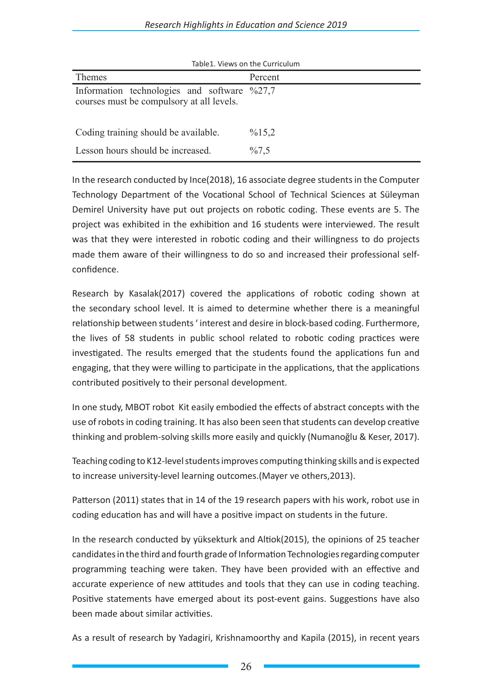| Table1. Views on the Curriculum                                                                    |                    |
|----------------------------------------------------------------------------------------------------|--------------------|
| Themes                                                                                             | Percent            |
| Information technologies and software $\frac{627}{7}$<br>courses must be compulsory at all levels. |                    |
| Coding training should be available.                                                               | $\frac{9}{6}$ 15,2 |
| Lesson hours should be increased.                                                                  | $\%7.5$            |

In the research conducted by Ince(2018), 16 associate degree students in the Computer Technology Department of the Vocational School of Technical Sciences at Süleyman Demirel University have put out projects on robotic coding. These events are 5. The project was exhibited in the exhibition and 16 students were interviewed. The result was that they were interested in robotic coding and their willingness to do projects made them aware of their willingness to do so and increased their professional selfconfidence.

Research by Kasalak(2017) covered the applications of robotic coding shown at the secondary school level. It is aimed to determine whether there is a meaningful relationship between students ' interest and desire in block-based coding. Furthermore, the lives of 58 students in public school related to robotic coding practices were investigated. The results emerged that the students found the applications fun and engaging, that they were willing to participate in the applications, that the applications contributed positively to their personal development.

In one study, MBOT robot Kit easily embodied the effects of abstract concepts with the use of robots in coding training. It has also been seen that students can develop creative thinking and problem-solving skills more easily and quickly (Numanoğlu & Keser, 2017).

Teaching coding to K12-level students improves computing thinking skills and is expected to increase university-level learning outcomes.(Mayer ve others,2013).

Patterson (2011) states that in 14 of the 19 research papers with his work, robot use in coding education has and will have a positive impact on students in the future.

In the research conducted by yüksekturk and Altiok(2015), the opinions of 25 teacher candidates in the third and fourth grade of Information Technologies regarding computer programming teaching were taken. They have been provided with an effective and accurate experience of new attitudes and tools that they can use in coding teaching. Positive statements have emerged about its post-event gains. Suggestions have also been made about similar activities.

As a result of research by Yadagiri, Krishnamoorthy and Kapila (2015), in recent years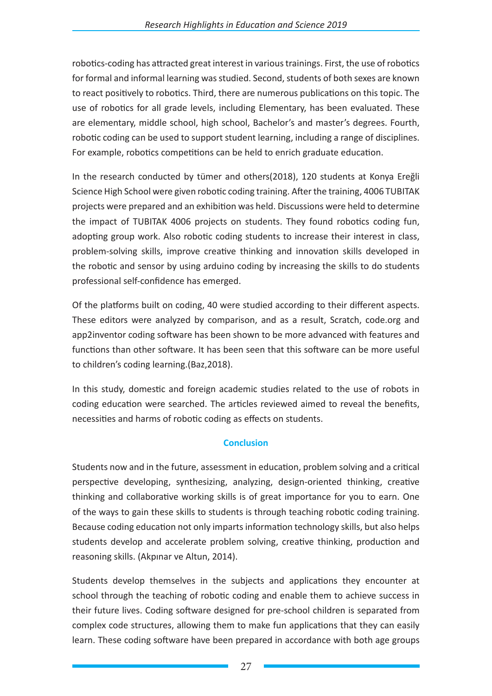robotics-coding has attracted great interest in various trainings. First, the use of robotics for formal and informal learning was studied. Second, students of both sexes are known to react positively to robotics. Third, there are numerous publications on this topic. The use of robotics for all grade levels, including Elementary, has been evaluated. These are elementary, middle school, high school, Bachelor's and master's degrees. Fourth, robotic coding can be used to support student learning, including a range of disciplines. For example, robotics competitions can be held to enrich graduate education.

In the research conducted by tümer and others(2018), 120 students at Konya Ereğli Science High School were given robotic coding training. After the training, 4006 TUBITAK projects were prepared and an exhibition was held. Discussions were held to determine the impact of TUBITAK 4006 projects on students. They found robotics coding fun, adopting group work. Also robotic coding students to increase their interest in class, problem-solving skills, improve creative thinking and innovation skills developed in the robotic and sensor by using arduino coding by increasing the skills to do students professional self-confidence has emerged.

Of the platforms built on coding, 40 were studied according to their different aspects. These editors were analyzed by comparison, and as a result, Scratch, code.org and app2inventor coding software has been shown to be more advanced with features and functions than other software. It has been seen that this software can be more useful to children's coding learning.(Baz,2018).

In this study, domestic and foreign academic studies related to the use of robots in coding education were searched. The articles reviewed aimed to reveal the benefits, necessities and harms of robotic coding as effects on students.

## **Conclusion**

Students now and in the future, assessment in education, problem solving and a critical perspective developing, synthesizing, analyzing, design-oriented thinking, creative thinking and collaborative working skills is of great importance for you to earn. One of the ways to gain these skills to students is through teaching robotic coding training. Because coding education not only imparts information technology skills, but also helps students develop and accelerate problem solving, creative thinking, production and reasoning skills. (Akpınar ve Altun, 2014).

Students develop themselves in the subjects and applications they encounter at school through the teaching of robotic coding and enable them to achieve success in their future lives. Coding software designed for pre-school children is separated from complex code structures, allowing them to make fun applications that they can easily learn. These coding software have been prepared in accordance with both age groups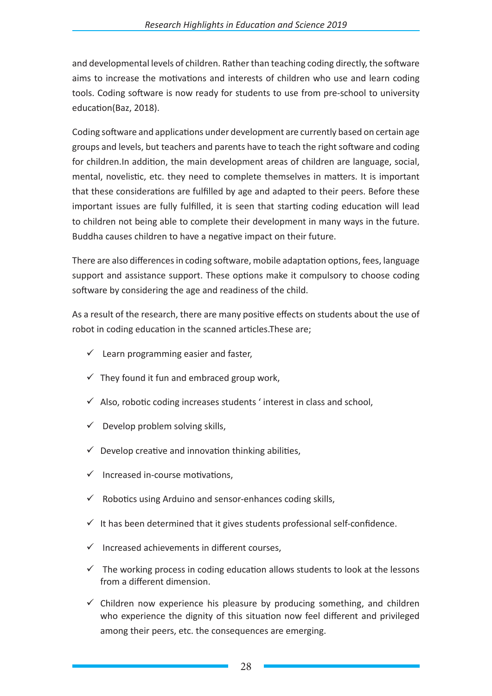and developmental levels of children. Rather than teaching coding directly, the software aims to increase the motivations and interests of children who use and learn coding tools. Coding software is now ready for students to use from pre-school to university education(Baz, 2018).

Coding software and applications under development are currently based on certain age groups and levels, but teachers and parents have to teach the right software and coding for children.In addition, the main development areas of children are language, social, mental, novelistic, etc. they need to complete themselves in matters. It is important that these considerations are fulfilled by age and adapted to their peers. Before these important issues are fully fulfilled, it is seen that starting coding education will lead to children not being able to complete their development in many ways in the future. Buddha causes children to have a negative impact on their future.

There are also differences in coding software, mobile adaptation options, fees, language support and assistance support. These options make it compulsory to choose coding software by considering the age and readiness of the child.

As a result of the research, there are many positive effects on students about the use of robot in coding education in the scanned articles.These are;

- $\checkmark$  Learn programming easier and faster,
- $\checkmark$  They found it fun and embraced group work,
- $\checkmark$  Also, robotic coding increases students ' interest in class and school,
- $\checkmark$  Develop problem solving skills,
- $\checkmark$  Develop creative and innovation thinking abilities,
- $\checkmark$  Increased in-course motivations,
- $\checkmark$  Robotics using Arduino and sensor-enhances coding skills,
- $\checkmark$  It has been determined that it gives students professional self-confidence.
- $\checkmark$  Increased achievements in different courses.
- $\checkmark$  The working process in coding education allows students to look at the lessons from a different dimension.
- $\checkmark$  Children now experience his pleasure by producing something, and children who experience the dignity of this situation now feel different and privileged among their peers, etc. the consequences are emerging.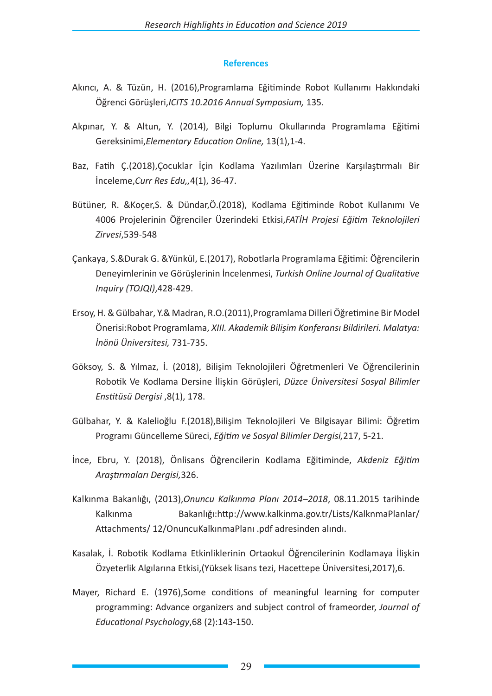## **References**

- Akıncı, A. & Tüzün, H. (2016),Programlama Eğitiminde Robot Kullanımı Hakkındaki Öğrenci Görüşleri,*ICITS 10.2016 Annual Symposium,* 135.
- Akpınar, Y. & Altun, Y. (2014), Bilgi Toplumu Okullarında Programlama Eğitimi Gereksinimi,*Elementary Education Online,* 13(1),1-4.
- Baz, Fatih Ç.(2018),Çocuklar İçin Kodlama Yazılımları Üzerine Karşılaştırmalı Bir İnceleme,*Curr Res Edu,,*4(1), 36-47.
- Bütüner, R. &Koçer,S. & Dündar,Ö.(2018), Kodlama Eğitiminde Robot Kullanımı Ve 4006 Projelerinin Öğrenciler Üzerindeki Etkisi,*FATİH Projesi Eğitim Teknolojileri Zirvesi*,539-548
- Çankaya, S.&Durak G. &Yünkül, E.(2017), Robotlarla Programlama Eğitimi: Öğrencilerin Deneyimlerinin ve Görüşlerinin İncelenmesi, *Turkish Online Journal of Qualitative Inquiry (TOJQI)*,428-429.
- Ersoy, H. & Gülbahar, Y.& Madran, R.O.(2011),Programlama Dilleri Öğretimine Bir Model Önerisi:Robot Programlama, *XIII. Akademik Bilişim Konferansı Bildirileri. Malatya: İnönü Üniversitesi,* 731-735.
- Göksoy, S. & Yılmaz, İ. (2018), Bilişim Teknolojileri Öğretmenleri Ve Öğrencilerinin Robotik Ve Kodlama Dersine İlişkin Görüşleri, *Düzce Üniversitesi Sosyal Bilimler Enstitüsü Dergisi* ,8(1), 178.
- Gülbahar, Y. & Kalelioğlu F.(2018),Bilişim Teknolojileri Ve Bilgisayar Bilimi: Öğretim Programı Güncelleme Süreci, *Eğitim ve Sosyal Bilimler Dergisi,*217, 5-21.
- İnce, Ebru, Y. (2018), Önlisans Öğrencilerin Kodlama Eğitiminde, *Akdeniz Eğitim Araştırmaları Dergisi,*326.
- Kalkınma Bakanlığı, (2013),*Onuncu Kalkınma Planı 2014–2018*, 08.11.2015 tarihinde Kalkınma Bakanlığı:http://www.kalkinma.gov.tr/Lists/KalknmaPlanlar/ Attachments/ 12/OnuncuKalkınmaPlanı .pdf adresinden alındı.
- Kasalak, İ. Robotik Kodlama Etkinliklerinin Ortaokul Öğrencilerinin Kodlamaya İlişkin Özyeterlik Algılarına Etkisi,(Yüksek lisans tezi, Hacettepe Üniversitesi,2017),6.
- Mayer, Richard E. (1976),Some conditions of meaningful learning for computer programming: Advance organizers and subject control of frameorder, *Journal of Educational Psychology*,68 (2):143-150.